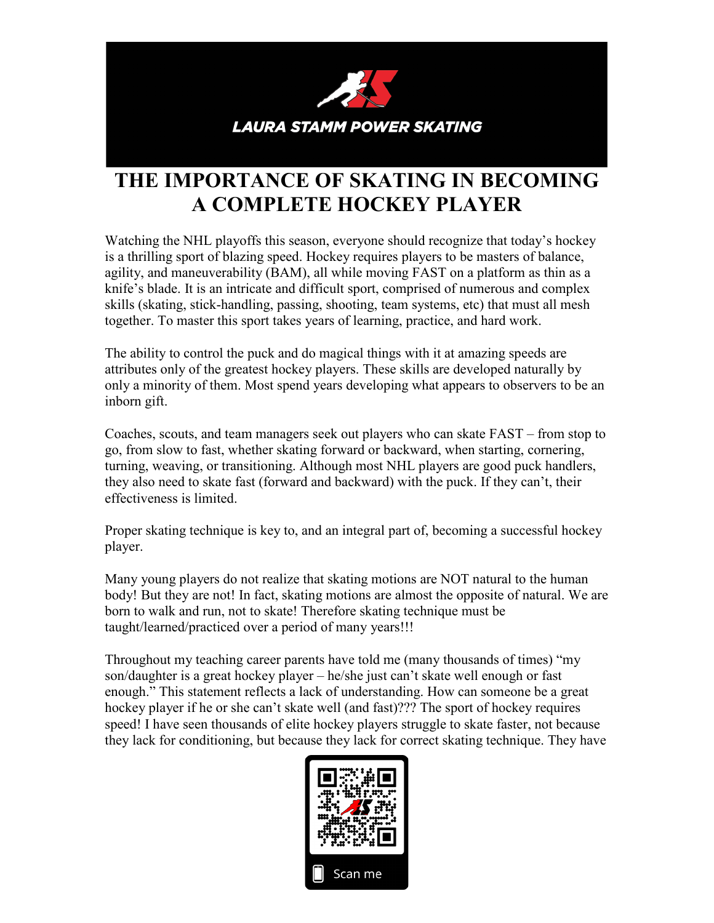

## **THE IMPORTANCE OF SKATING IN BECOMING A COMPLETE HOCKEY PLAYER**

Watching the NHL playoffs this season, everyone should recognize that today's hockey is a thrilling sport of blazing speed. Hockey requires players to be masters of balance, agility, and maneuverability (BAM), all while moving FAST on a platform as thin as a knife's blade. It is an intricate and difficult sport, comprised of numerous and complex skills (skating, stick-handling, passing, shooting, team systems, etc) that must all mesh together. To master this sport takes years of learning, practice, and hard work.

The ability to control the puck and do magical things with it at amazing speeds are attributes only of the greatest hockey players. These skills are developed naturally by only a minority of them. Most spend years developing what appears to observers to be an inborn gift.

Coaches, scouts, and team managers seek out players who can skate FAST – from stop to go, from slow to fast, whether skating forward or backward, when starting, cornering, turning, weaving, or transitioning. Although most NHL players are good puck handlers, they also need to skate fast (forward and backward) with the puck. If they can't, their effectiveness is limited.

Proper skating technique is key to, and an integral part of, becoming a successful hockey player.

Many young players do not realize that skating motions are NOT natural to the human body! But they are not! In fact, skating motions are almost the opposite of natural. We are born to walk and run, not to skate! Therefore skating technique must be taught/learned/practiced over a period of many years!!!

Throughout my teaching career parents have told me (many thousands of times) "my son/daughter is a great hockey player – he/she just can't skate well enough or fast enough." This statement reflects a lack of understanding. How can someone be a great hockey player if he or she can't skate well (and fast)??? The sport of hockey requires speed! I have seen thousands of elite hockey players struggle to skate faster, not because they lack for conditioning, but because they lack for correct skating technique. They have